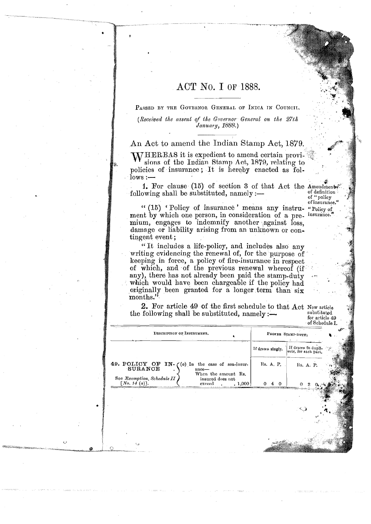## ACT No. I OF 1888.

PASSED BY THE GOVERNOR GENERAL OF INDIA IN COUNCIL.

(Received the assent of the Governor General on the 27th January, 1888.)

An Act to amend the Indian Stamp Act, 1879.

**WHEREAS** it is expedient to amend certain provisions of the Indian Stamp Act, 1879, relating to policies of insurance; It is hereby enacted as fol $lows:$ 

1. For clause (15) of section 3 of that Act the Amendments following shall be substituted, namely :-

of definition of "policy of insurance."

"(15) 'Policy of insurance' means any instru-"Policy of ment by which one person, in consideration of a premium, engages to indemnify another against loss, damage or liability arising from an unknown or contingent event;

"It includes a life-policy, and includes also any writing evidencing the renewal of, for the purpose of keeping in force, a policy of fire-insurance in respect of which, and of the previous renewal whereof (if any), there has not already been paid the stamp-duty which would have been chargeable if the policy had originally been granted for a longer term than six months."

2. For article 49 of the first schedule to that Act New article the following shall be substituted, namely :-

| substituted<br>for article 49<br>$\circ$ of Schedule I. |  |
|---------------------------------------------------------|--|
|                                                         |  |

| DESCRIPTION OF INSTRUMENT.                                                                      | PROPER STAMP-DUTY.      |                                            |  |
|-------------------------------------------------------------------------------------------------|-------------------------|--------------------------------------------|--|
|                                                                                                 | If drawn slugly.        | If drawn in dupli-<br>oute, for each part. |  |
| 49. POLICY OF IN- $($ a) In the case of sea-insur-<br>SURANCE<br>$ance-$<br>When the amount Rs. | Rs. A. P.               | Rs. A. P.                                  |  |
| See Exemption, Schedule II<br>insured does not<br>[No. 14 (a)].<br>.1,000<br>exceed             | 0<br><sup>0</sup><br>4. | 0<br>Ζ                                     |  |
|                                                                                                 |                         |                                            |  |
|                                                                                                 |                         |                                            |  |
|                                                                                                 |                         |                                            |  |
|                                                                                                 |                         |                                            |  |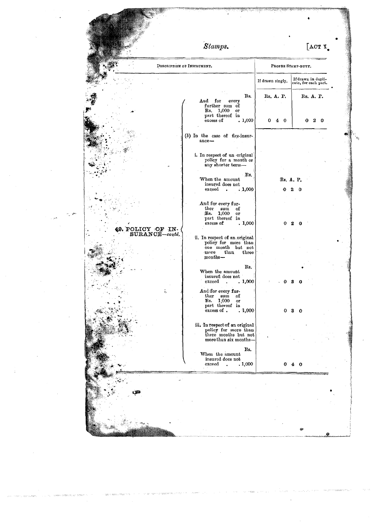|       |                                     | Stamps.                                                                                                        |                  | [ACT I]                                    |
|-------|-------------------------------------|----------------------------------------------------------------------------------------------------------------|------------------|--------------------------------------------|
|       |                                     | DESCRIPTION OF INSTRUMENT.                                                                                     |                  | PROPER STAMP-DUTY.                         |
|       |                                     |                                                                                                                | If drawn singly. | If drawn in dupli-<br>cate, for each part. |
|       |                                     | Rs.<br>And for<br>every<br>further sum of                                                                      | Rs. A. P.        | Rs. A. P.                                  |
|       |                                     | Rs. 1,000<br>or<br>part thereof in<br>excess of<br>, 1,000                                                     | $4\quad0$<br>0   | $2\degree$<br>0                            |
|       |                                     | (b) In the case of fire-insur-<br>ance-                                                                        |                  |                                            |
|       |                                     | i. In respect of an original<br>policy for a month or<br>any shorter term-                                     |                  |                                            |
|       |                                     | Rs.<br>When the amount<br>insured does not<br>exceed<br>.1,000<br>$\bullet$                                    | Rs. A. P.        | 0                                          |
| مای ب |                                     | And for every fur-<br>ther<br>sum<br>of<br>Rs.<br>1,000<br>or                                                  |                  |                                            |
|       | 49. POLICY OF IN-<br>SURANCE-contd. | part thereof in<br>excess of<br>.1,000                                                                         |                  | 0                                          |
|       |                                     | ii. In respect of an original<br>policy for more than<br>one month but not<br>more<br>than<br>three<br>months- |                  |                                            |
|       |                                     | Rs.<br>When the amount<br>insured does not<br>.1,000<br>exceed                                                 |                  |                                            |
|       |                                     | And for every fur-<br>ther sum<br>of<br>Rs. 1,000<br>or<br>part thereof in                                     |                  |                                            |
|       |                                     | excess of.<br>.1,000<br>iii. In respect of an original policy for more than<br>three months but not            | 0                | 3<br>∩                                     |
|       |                                     | more than six months-<br>Rs.                                                                                   |                  |                                            |
|       |                                     | When the amount<br>insured does not<br>exceed<br>.1,000<br>$\ddot{\phantom{a}}$                                | 0                | o                                          |
|       |                                     |                                                                                                                |                  |                                            |
|       |                                     |                                                                                                                |                  |                                            |
|       |                                     |                                                                                                                |                  | Ø                                          |

 $\label{eq:2.1} \frac{1}{\sqrt{2}}\int_{\mathbb{R}^3}\frac{1}{\sqrt{2}}\left(\frac{1}{\sqrt{2}}\right)^2\frac{1}{\sqrt{2}}\left(\frac{1}{\sqrt{2}}\right)^2\frac{1}{\sqrt{2}}\left(\frac{1}{\sqrt{2}}\right)^2\frac{1}{\sqrt{2}}\left(\frac{1}{\sqrt{2}}\right)^2.$ 

 $\mathcal{L}^{\text{max}}_{\text{max}}$ 

 $\label{eq:1} \frac{1}{\sqrt{2\pi}}\sum_{i=1}^n\frac{1}{\sqrt{2\pi}}\sum_{i=1}^n\frac{1}{\sqrt{2\pi}}\sum_{i=1}^n\frac{1}{\sqrt{2\pi}}\sum_{i=1}^n\frac{1}{\sqrt{2\pi}}\sum_{i=1}^n\frac{1}{\sqrt{2\pi}}\sum_{i=1}^n\frac{1}{\sqrt{2\pi}}\sum_{i=1}^n\frac{1}{\sqrt{2\pi}}\sum_{i=1}^n\frac{1}{\sqrt{2\pi}}\sum_{i=1}^n\frac{1}{\sqrt{2\pi}}\sum_{i=1}^n\frac{$ 

 $\mathcal{L}(\mathcal{A})$  and  $\mathcal{L}(\mathcal{A})$ 

 $\label{eq:2.1} \frac{1}{\sqrt{2}}\left(\frac{1}{\sqrt{2}}\right)^{2} \left(\frac{1}{\sqrt{2}}\right)^{2} \left(\frac{1}{\sqrt{2}}\right)^{2}$ 

e and and a state of the state of the state of the state of the state of the state of the state of the state of the state of the state of the state of the state of the state of the state of the state of the state of the st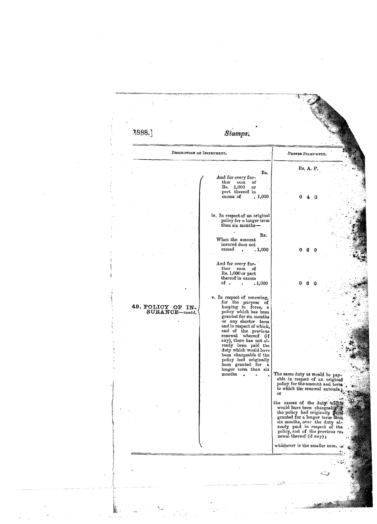1888.] Stamps. DESCRIPTION OF INSTRUMENT. PROPER STAMP-DUTY. Rs. A. P. Rs. And for every fur-<br>ther sum of<br>Rs. 1,000 or part thereof in<br>excess of  $\bar{.}1,000$ iv. In respect of an original<br>policy for a longer term<br>than six monthsi Rs. When the amount insured does not exceed  $\,$ . 1,000  $\ddot{\phantom{a}}$ 6 And for every further sum of<br>Rs. 1,000 or part thereof in excess of .  $\frac{1}{1,000}$  $\ddot{\phantom{1}}$ v. In respect of renewing,<br>for the purpose of<br>keeping in force, a<br>policy which has been<br>granted for six months<br>or any shorter term<br>and in respect of which,<br>and in terms and of the province,<br>renewal whereof (if<br>any), there 49. POLICY OF IN-<br>SURANCE-contd. The same duty as would be pay-<br>able in respect of an original<br>policy for the amount and term<br>to which the renewal extends.  $\alpha$ r the excess of the duty which would have been chargeably we the policy had originally  $\frac{1}{2}$  and  $\frac{1}{2}$  and  $\frac{1}{2}$  and  $\frac{1}{2}$  and  $\frac{1}{2}$  and  $\frac{1}{2}$  ready paid in respect of the policy, and of the previous whichever is the smaller sum ు